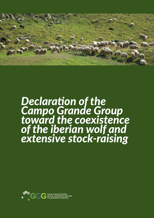

# *Declaration of the Campo Grande Group toward the coexistence of the iberian wolf and extensive stock-raising*

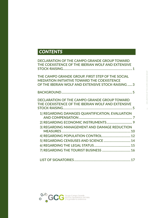# *CONTENTS*

| <b>DECLARATION OF THE CAMPO GRANDE GROUP TOWARD</b><br>THE COEXISTENCE OF THE IBERIAN WOLF AND EXTENSIVE                                                     |
|--------------------------------------------------------------------------------------------------------------------------------------------------------------|
| THE CAMPO GRANDE GROUP, FIRST STEP OF THE SOCIAL<br><b>MEDIATION INITIATIVE TOWARD THE COEXISTENCE</b><br>OF THE IBERIAN WOLF AND EXTENSIVE STOCK-RAISING  3 |
|                                                                                                                                                              |
| <b>DECLARATION OF THE CAMPO GRANDE GROUP TOWARD</b><br>THE COEXISTENCE OF THE IBERIAN WOLF AND EXTENSIVE                                                     |
| 1 REGARDING DAMAGES QUANTIFICATION, EVALUATION                                                                                                               |
|                                                                                                                                                              |
| 3 REGARDING MANAGEMENT AND DAMAGE REDUCTION                                                                                                                  |
|                                                                                                                                                              |
|                                                                                                                                                              |
|                                                                                                                                                              |
|                                                                                                                                                              |
|                                                                                                                                                              |

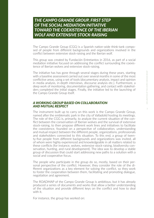# *THE CAMPO GRANDE GROUP, FIRST STEP OF THE SOCIAL MEDIATION INITIATIVE TOWARD THE COEXISTENCE OF THE IBERIAN WOLF AND EXTENSIVE STOCK-RAISING*

The Campo Grande Group (CGG) is a Spanish nation-wide think-tank composed of people from different backgrounds and organizations involved in the conflict between extensive stock-raising and the Iberian wolf.

This group was created by Fundación Entretantos in 2016, as part of a social mediation initiative focused on addressing the conflict surrounding the coexistence of Iberian wolves and extensive stock-raising.

The initiative has has gone through several stages during these years, starting with a baseline assessment carried out over several months in some of the most conflictive areas, using a set of tools (documentary analysis, impact and opinion in media analysis, in-depth interviews, discourse analysis etc.). Furthermore, a deep work of monitoring, documentation gathering, and contact with stakeholders completed the initial stages. Finally, the initiative led to the launching of the Campo Grande Group itself.

### *A WORKING GROUP BASED ON COLLABORATION AND MUTUAL RESPECT*

The instrument built up to carry on this work is the Campo Grande Group, named after the emblematic park in the city of Valladolid hosting its meetings. The role of the CGG is, primarily, to analyze the current situation of the conflict between the conservation of Iberian wolves and the survival of extensive stock-raising, to then propose different work lines and initiatives to facilitate the coexistence, founded on a perspective of collaboration, understanding and mutual respect between the different people, organizations, professionals and stakeholders connected to this situation. To this end, a group of twenty-five people from different backgrounds and organizations was invited, all of whom were highly experienced and knowledgeable in all matters related to these conflicts (for instance, wolves, extensive stock-raising, biodiversity conservation, hunting, and rural development). The idea was to develop a stable group of discussion that could start addressing new paths to a solution with a social and cooperative focus.

The people who participate in the group do so, mostly, based on their personal perspective of the conflict. However, they consider the role of the different organizations as a key element for solving the conflict, so they work to foster the cooperation between them, facilitating and promoting dialogue, negotiation and agreement.

The ROADMAP of the Campo Grande Group is ambitious, but it has already produced a series of documents and works that allow a better understanding of the situation and provide different keys on the conflict and how to deal with it.

For instance, the group has worked on:

 $\overline{3}$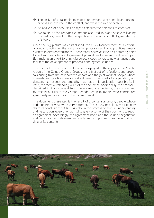- $\rightarrow$  The design of a stakeholders' map to understand what people and organizations are involved in the conflict, and what the role of each is.
- $\rightarrow$  An analysis of discourses, to try to establish the demands of each side
- $\rightarrow$  A catalogue of stereotypes, commonplaces, red lines and obstacles leading to deadlock, based on the perspective of the social conflict generated by this topic.

Once the big picture was established, the CGG focused most of its efforts on deconstructing myths and analyzing proposals and good practices already existent in different territories. These materials have served as a starting point to find and promote latent agreement possibilities between the different parties, making an effort to bring discourses closer, generate new languages and facilitate the development of proposals and agreed solutions.

The result of this work is the document displayed in these pages, the "Declaration of the Campo Grande Group". It is a first set of reflections and proposals arising from the collaborative debate and the joint work of people whose interests and positions are radically different. The spirit of cooperation, understanding, respect and empathy that made this declaration possible is, in itself, the most outstanding value of the document. Additionally, the proposals described in it also benefit from the enormous experience, the wisdom and the technical skills of the Campo Grande Group members, who contributed generously as individuals to the common work.

The document presented is the result of a consensus among people whose initial points of view were very different. This is why not all signatories may share its conclusions 100%. Logically, in the process of mutual understanding and negotiation, everyone has had to give up some of their positions to reach an agreement. Accordingly, the agreement itself, and the spirit of negotiation and collaboration of its members, are far more important than the actual wording of its contents.

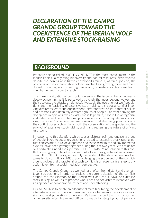# *DECLARATION OF THE CAMPO GRANDE GROUP TOWARD THE COEXISTENCE OF THE IBERIAN WOLF AND EXTENSIVE STOCK-RAISING*

# *BACKGROUND*

Probably, the so-called "WOLF CONFLICT" is the most paradigmatic in the Iberian Peninsula regarding biodiversity and natural resources. Nevertheless, despite the dozens of initiatives developed around it, as time goes on, the positions of the different stakeholders involved are growing more and more distant, the antagonism is getting fiercer and, ultimately, solutions are becoming harder and harder to reach.

The currently situation of confrontation around the issue of Iberian wolves is deeply concerning as it is perceived as a clash that goes beyond wolves and their ecology, the attacks on domestic livestock, the evolution of wolf populations and the feasibility of extensive stock-raising. It is a social conflict involving different sectors and organizations, different ways of life, different beliefs and positions, and definitely different groups of people. Far from denying the divergence in opinions, which exists and is legitimate, it looks like antagonism and extreme and confrontational positions are not the adequate way of solving the issue. Conversely, we are convinced that the rising polarization of the conflict poses a clear risk to both the conservation of the species and the survival of extensive stock-raising, and it is threatening the future of a living rural world.

In response to this situation, which causes distress, pain and unease, a group of people linked to social organizations related to extensive stock-raising, nature conservation, rural development, and some academics and environmental experts, have been getting together during the last two years. We are united by a certainty, a need and a premise. THE CERTAINTY: no solution to this conflict is ever going to be effective without a basic dialogue-based social agreement. THE NEED: dialogue can only be tackled if the stakeholders involved agree to do so. THE PREMISE: acknowledging the scope and of the conflicts around wolves and characterizing such conflicts is an essential first step to any action taken from a social mediation perspective.

The Campo Grande Group has worked hard, often from distant and even antagonistic positions in order to analyze the current situation of the conflicts around the conservation of the Iberian wolf and the survival of extensive stock-raising, as well as to propose work lines and coexistence initiatives with an approach of collaboration, respect and understanding.

Our MISSION is to create an adequate climate facilitating the development of alternatives aimed at the long-term coexistence between extensive stock-raising and wild populations of wolves. We have pursued this from a position of generosity, often brave and difficult to reach, by stepping out of personal 5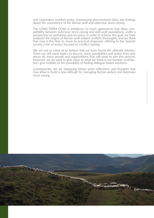and corporative comfort zones, overpassing preconceived ideas and feelings about the coexistence of the Iberian wolf and extensive stock-raising.

The LONG-TERM GOAL is ambitious: to reach agreements that allow compatibility between extensive stock-raising and wild wolf populations, under a perspective of usefulness and accuracy. In order to achieve this goal, we have analyzed the origins of Iberian-wolf related conflicts thoroughly, and we think that now is the time to move to practical proposals, offering to the Spanish society a line of action focused on conflict-solving.

We are not so naive as to believe that we have found the ultimate solution. There are still many topics to discuss, many possibilities and action lines and, above all, many people and organizations that still need to join this process. However, we do want to give value to what we think is our humble contribution: give visibility to the possibility of finding dialogue-based solutions.

Consequently, we are displaying below some reflections and thoughts that may allow to build a new attitude for managing Iberian wolves and extensive stock-raising.

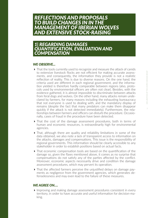# *REFLECTIONS AND PROPOSALS TO BUILD CHANGES IN IN THE MANAGEMENT OF IBERIAN WOLVES AND EXTENSIVE STOCK-RAISING*

*1| REGARDING DAMAGES QUANTIFICATION, EVALUATION AND COMPENSATION*

# *WE OBSERVE...*

- $\triangleright$  That the tools currently used to recognize and measure the attack of canids to extensive livestock flocks are not efficient for making accurate assessments, and consequently, the information they provide is not a realistic reflection of reality. This is due to diverse reasons. On the one hand, the criteria used are different in each regional government, and the information yielded is therefore hardly comparable between regions (also, protocols used by environmental officers are often not clear). Besides, with the evidence gathered, it is almost impossible to discriminate between attacks from feral dogs and wolves. On the other hand, many attacks remain undeclared by farmers, for many reasons including the exhausting bureaucracy that not everyone is used to dealing with, and the mandatory display of remains (despite the fact that many predators can make them disappear quickly if the attack is not detected immediately). Furthermore, the relationships between farmers and officers can disturb the procedure. Occasionally, cases of fraud in the procedure have been detected.
- That the cost of the damage assessment procedures, both in terms of human and economic resources, is extraordinarily high for environmental agencies.
- That, although there are quality and reliability limitations in some of the data obtained, we also note a lack of transparent access to information on the attacks, damages and compensations. This issue is the responsibility of regional governments. This information should be clearly accessible to any stakeholder in order to establish positions based on actual facts.
- That economic compensation tools are based on the quantification of the damage so, given the flaws mentioned above, it comes as no surprise that compensations do not satisfy any of the parties affected by the conflict. Moreover, economic aspects necessarily drive and condition the damage assessment procedures, which may pervert its operation.
- That the affected farmers perceive the unjustified delays on damage payments as negligence from the government agencies, which generates defenselessness and may even lead to the failure of these measures.

# *WE AGREE ON….*

Improving and making damage assessment procedures consistent in every territory, in order to have accurate and useful information for decision-making.

7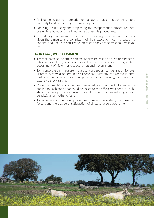- Facilitating access to information on damages, attacks and compensations, currently handled by the government agencies.
- Focusing on reducing and simplifying the compensation procedures, proposing less bureaucratized and more accessible procedures.
- Considering that linking compensations to damage assessment processes, given the difficulty and complexity of their execution, just increases the conflict, and does not satisfy the interests of any of the stakeholders involved.

- That the damage quantification mechanism be based on a "voluntary declaration of casualties", periodically stated by the farmer before the agriculture department of his or her respective regional government.
- To incorporate this measure in a global concept as "compensation for coexistence with wildlife", grouping all caseload currently considered in different procedures, which have a negative impact on farming, particularly on extensive stock-raising.
- Once the quantification has been assessed, a correction factor would be applied to each zone, that could be linked to the official wolf census (i.e. highest percentage of compensable casualties on the areas with higher wolf density), among other criteria.
- $\triangleright$  To implement a monitoring procedure to assess the system, the correction factors and the degree of satisfaction of all stakeholders over time.

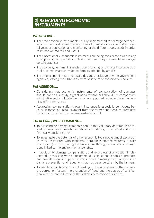# *WE OBSERVE...*

- That the economic instruments usually implemented for damage compensation show notable weaknesses (some of them already evident after several years of application and monitoring of the different tools used), in order to be considered fair and useful.
- $\triangleright$  That, occasionally, economic instruments are being considered as a subsidy for support or compensation, while other times they are used to encourage certain practices.
- $\triangleright$  That some government agencies use financing of damage insurance as a tool to compensate damages to farmers affected by attacks.
- That the economic instruments are designed exclusively by the government agencies, leaving the citizens as mere observers of conservation policies.

### *WE AGREE ON….*

- Considering that economic instruments of compensation of damages should not be a subsidy, a grant nor a reward, but should just compensate with justice and amplitude the damages supported (including inconveniencies, effort, time, etc.).
- Addressing compensation through insurance is especially pernicious, because it forces an initial payment from the farmer and because premiums usually do not cover the damage sustained in full.

- To substantiate damage compensation on the 'voluntary declaration of casualties' mechanism mentioned above, considering it the fairest and most financially efficient system.
- $\triangleright$  To investigate the potential of other economic tools not yet mobilized, such as those associated with marketing (through guarantee systems, quality brands, etc.) or by exploring the tax options through incentives or exemptions linked to the environmental benefits.
- $\blacktriangleright$  In addition to damage compensation, and regardless of any action implemented on this side, we also recommend using economic tools to promote and provide financial support to investments in management measures for damage prevention and reduction that may be undertaken by the farmers.
- $\triangleright$  To enable a monitoring protocol, leading to the assessment of the systems, the correction factors, the prevention of fraud and the degree of satisfaction with the procedure of all the stakeholders involved over time.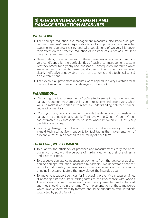# *WE OBSERVE...*

- That damage reduction and management measures (also known as 'preventive measures') are indispensable tools for improving coexistence between extensive stock-raising and wild populations of wolves. Moreover, their effect on the effective reduction of livestock casualties as a result of the attacks has been proven.
- Nevertheless, the effectiveness of these measures is relative, and remains very conditioned by the particularities of each area, management system, livestock breed, topography and landscape. Consequently, measures which are effective in a specific farm, could come out as inadequate, (or even clearly ineffective or not viable in both an economic, and a technical sense), on a different one.
- That, even if all preventive measures were applied in every livestock farm, the result would not prevent all damages on livestock.

# *WE AGREE ON…*

- Dismissing the idea of reaching a 100% effectiveness in management and damage reduction measures, as it is an unreachable and utopic goal, which will also make it very difficult to reach an understanding between farmers and environmentalists.
- Working through social agreement towards the definition of a threshold of damages that could be acceptable. Tentatively, the Campo Grande Group has estimated this threshold to be somewhere between 3-5% of yearly predation casualties.
- Improving damage control is a must, for which it is necessary to provide in-field technical advisory support, for facilitating the implementation of preventive measures adapted to the reality of each farm.

- To quantify the efficiency of practices and measurements targeted at reducing damages, with the purpose of making clear what their usefulness is under strict criteria.
- To decouple damage compensation payments from the degree of application of damage reduction measures by farmers. We understand that this kind of conditionality undermines damage compensation mechanisms by bringing in external factors that may distort the intended goal.
- To implement support services for introducing preventive measures aimed at adapting extensive stock-raising farms to the coexistence with wolves. The efficiency of such measures should be implemented and enhanced, and they should remain over time. The implementation of these measures, which involve investment by farmers, should be adequately stimulated and supported by public funding.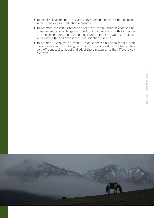- To mobilize investment on research, development and innovation on management and damage reduction measures.
- To promote the establishment of adequate communication channels between scientific knowledge and the farming community, both to improve the implementation of prevention measures in farms, as well as to transfer local knowledge and experiences into scientific research.
- $\triangleright$  To promote the quest for shared dialogue spaces between farmers from diverse areas, as the exchange of experiences and local knowledge can be a very efficient tool to adopt and adapt these measures to the different local contexts.

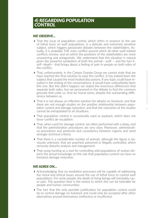# *WE OBSERVE...*

- That the issue of population control, which refers in essence to the use of lethal force on wolf populations, is a delicate and extremely sensitive subject, which triggers passionate debates between the stakeholders. Actually, it is probably THE main conflict around which all other wolf-related conflicts revolve, and on which the positions of the stakeholders are more unwavering and antagonistic. We understand that this situation is natural given the powerful symbolism of both the animal— wolf  $-$  and the fact itself—death— that brings about a feeling of pain in people on both sides of the conflict.
- $\triangleright$  That, unfortunately, in the Campo Grande Group we cannot state that we have reached the final solution to ease the conflict. It has indeed been the subject that caused the most heated discussions. If any topic could have resulted in the ending of the conversations, it would have undoubtedly been this one. But this didn't happen; we stated the enormous differences that separate both sides, but we persevered in the debate to find the common grounds that unite us. And we found some, despite the outstanding differences between us.
- $\triangleright$  That it is not always an effective solution for attacks on livestock, and that there are not enough studies on the positive relationship between population control and damage reduction, and that the outcomes of the studies cannot be extrapolated to all situations.
- That population control is occasionally used as payback, which does not favor conflict de-escalation.
- That, when used for damage control, are often performed with a delay, and that the administrative procedures are very slow. Moreover, administrative procedures and protocols lack consistency between regions and need stronger technical criteria.
- $\triangleright$  That there is a considerable number of animals, although the figure is obviously unknown, that are poached, poisoned or illegally controlled, which seriously disturbs analysis and management.
- That using hunting as a tool for controlling wild populations of wolves distorts the actual knowledge on the role that population control can have on livestock damage reduction.

# *WE AGREE ON…*

- $\triangleright$  Acknowledging that no mediation processes will be capable of addressing the moral and ethical issues around the use of lethal force to control wolf populations. For some people, the death of living beings will inevitably cause pain. The question here is the extent to which this can be tolerable for people and human communities.
- $\triangleright$  The fact that the only possible justification for population control could be to control damage on livestock and could only be accepted after other alternatives proved themselves ineffective or insufficient.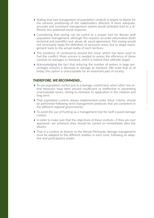- $\triangleright$  Stating that bad management of population controls is largely to blame for the extreme positioning of the stakeholders affected. A more adequate, accurate and consistent management system would probably lead to a different, less polarized social response.
- Considering that zoning can be useful as a proper tool for Iberian wolf population management, although this requires accurate information (both technical and scientific) and, above all, social agreement. This zoning would not necessarily imply the definition of exclusion areas, but to adapt management tools to the actual reality of each territory.
- $\triangleright$  The existence of controversy around this issue, which has been used to fuel the conflict. More science is needed to assess the efficiency of these controls on damages to livestock, which is indeed their ultimate target.
- $\blacktriangleright$  Acknowledging the fact that reducing the number of wolves in large percentages ensures a decrease in damage to livestock. We state that as of today, this option is unacceptable for an important part of society.

- $\triangleright$  To use population control just as a damage-control tool, when other non-lethal measures have been proved insufficient or ineffective in preventing unacceptable losses, aiming to minimize its application in the medium and long term.
- That population control, always implemented under these criteria, should be performed following strict management protocols that are consistent in the different regional governments.
- To avoid the use of hunting as a management tool for wolf-caused damage control.
- ▶ In order to make sure that the objectives of these controls—if they are ever approved—are achieved, they should be carried on immediately after the attacks.
- That in a context as diverse as the Iberian Peninsula, damage management must be adapted to the different realities in each zone, following an adaptive and participatory model.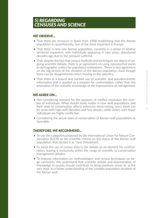# *5| REGARDING CENSUSES AND SCIENCE*

# *WE OBSERVE...*

- That there are censuses in Spain from 1988 establishing that the Iberian population is, quantitatively, one of the most important in Europe.
- That there is only one Iberian population, currently in a phase of relative territorial expansion, with individuals appearing in new areas, abandoned decades ago due to the pressure suffered.
- That, despite the fact that census methods and techniques are object of ongoing scientific debate, there is an agreement on using reproductive packs as demographic unities for population estimations. There is also agreement on the big picture of the situation of the Iberian population, even though there can be disagreements when moving to the specifics.
- That there is a biased and slanted use of scientific and pseudoscientific information that is applied as a weapon for confrontation, rather than the promotion of the scientific knowledge or the improvement of management.

# *WE AGREE ON…*

- Not considering relevant for the purpose of conflict resolution the number of individuals. What should really matter is how wolf populations and their state of conservation affects extensive stock-raising, since there can be areas with high wolf densities and few attacks, while others with fewer individuals are highly conflictive.
- Considering the actual state of conservation of Iberian wolf populations as favorable.

- To use the categories proposed by the International Union for Nature Conservation (IUCN) as the scientific criteria on the status of the Iberian wolf population, that declare it as "near threatened".
- To avoid the use of census data in the debate as an element for confrontation, leaving it exclusively within the range of scientific or conservation management debates.
- To improve information on methodologies and census techniques on large carnivores. We understand that scientific debate and dissemination of knowledge in society should contribute to bring positions closer or, at the very least, to a better understanding of the complex population situation of the Iberian wolf.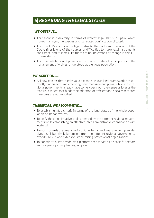# *WE OBSERVE...*

- If That there is a diversity in terms of wolves' legal status in Spain, which makes managing the species and its related conflicts complicated.
- ▶ That the EU's stand on the legal status to the north and the south of the Douro river is one of the sources of difficulties to make legal instruments consistent, and it seems like there are no indications of change in this European status.
- That the distribution of powers in the Spanish State adds complexity to the management of wolves, understood as a unique population.

# *WE AGREE ON…..*

 Acknowledging that highly valuable tools in our legal framework are currently underused. Implementing new management plans, while most regional governments already have some, does not make sense as long as the material aspects that hinder the adoption of efficient and socially accepted measures are not modified.

- To establish unified criteria in terms of the legal status of the whole population of Iberian wolves.
- To unify the administrative tools operated by the different regional governments while establishing an effective inter-administrative coordination with Portugal.
- To work towards the creation of a unique Iberian wolf management plan, designed collaboratively by officers from the different regional governments, experts, NGOs and extensive stock-raising professional organizations.
- To constitute a state-wide wolf platform that serves as a space for debate and for participative planning in Spain.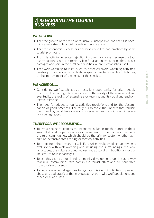# *WE OBSERVE...*

- That the growth of this type of tourism is unstoppable, and that it is becoming a very strong financial incentive in some areas.
- That this economic success has occasionally led to bad practices by some tourist promoters.
- That this activity generates rejection in some rural areas, because the tourist attraction is not the territory itself but an animal species that causes damages and pain in the rural communities where it establishes itself.
- $\triangleright$  That wolf-watching tourism, such as other carnivore-watching activities, creates jobs and economic activity in specific territories while contributing to the improvement of the image of the species.

# *WE AGREE ON….*

- Considering wolf-watching as an excellent opportunity for urban people to come closer and get to know in depth the reality of the rural world and eventually, the reality of extensive stock-raising and its social and environmental relevance.
- $\triangleright$  The need for adequate tourist activities regulations and for the dissemination of good practices. The target is to avoid the impacts that tourism overcrowding could have on wolf conservation and how it could interfere in other land uses.

- $\triangleright$  To avoid seeing tourism as the economic solution for the future in those areas. It should be perceived as a complement for the main occupation of the rural communities, which should be the primary sector, whether agriculture, extensive stock-raising or forestry activities.
- To profit from the demand of wildlife tourism while avoiding identifying it exclusively with wolf-watching and including the surroundings, the local landscapes, the culture around wolves and pastoralism, traditional ways of life, etc., to tourist packages.
- $\triangleright$  To use this asset as a rural and community development tool, in such a way that rural communities take part in the tourist offers and are benefitted from tourism proceeds.
- To get environmental agencies to regulate this kind of activities to prevent abuse and bad practices that may put at risk both wild wolf populations and other local land uses.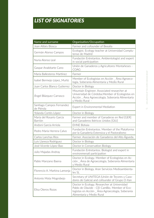# *LIST OF SIGNATORIES*

| Name and surname                        | Organisation/Occupation                                                                                                                                                         |
|-----------------------------------------|---------------------------------------------------------------------------------------------------------------------------------------------------------------------------------|
| Joan Alibés Biosca                      | Farmer and cofounder of Beealia                                                                                                                                                 |
| Germán Alonso Campos                    | Ecologist. Ecology teacher at Universidad Complu-<br>tense de Madrid                                                                                                            |
| Nuria Alonso Leal                       | Fundación Entretantos. Ambientologist and expert<br>in social participation                                                                                                     |
| Gaspar Anabitarte Cano                  | Unión de Ganaderos y Agricultores Montañeses -<br>COAG                                                                                                                          |
| María Ballesteros Martínez              | Farmer                                                                                                                                                                          |
| Isabel Bermejo López_Muñíz              | Member of Ecologistas en Acción _ Área Agroeco-<br>logía, Soberanía Alimentaria y Medio Rural                                                                                   |
| Juan Carlos Blanco Gutierrez            | Doctor in Biology                                                                                                                                                               |
| Ángel Blázquez Carrasco                 | Mountain Engineer. Associated researcher at<br>Universidad de Córdoba.Member of Ecologistas en<br>Acción Área Agroecología, Soberanía Alimentaria<br>y Medio Rural -            |
| Santiago Campos Fernandez<br>de Piérola | Expert in Environmental Mediation                                                                                                                                               |
| Yolanda Cortés López                    | Doctor in Biology                                                                                                                                                               |
| María del Rosario García<br>Barrión     | Farmer and member of Ganaderas en Red [GER]<br>and Ganaderos Ibéricos Unidos [GIU]                                                                                              |
| Andoni García Arriola                   | <b>EHNE Bizkaia</b>                                                                                                                                                             |
| Pedro María Herrera Calvo               | Fundación Entretantos. Member of the Plataforma<br>por la Ganadería Extensiva y el Pastoralismo                                                                                 |
| Carlos Lanchas Ríos                     | Farmer. Asociación de Ganaderos del Alto Águeda.                                                                                                                                |
| Luis Llaneza Rodríguez                  | Doctor in Biology                                                                                                                                                               |
| José Vicente López Bao                  | Doctor in Conservation Biology                                                                                                                                                  |
| Julio Majadas Andray                    | Fundación Entretantos. Biologist and expert in<br>environmenatl participation                                                                                                   |
| Pablo Manzano Baena                     | Doctor in Ecology. Member of Ecologistas en Ac-<br>ción Área de Agroecología, Soberanía Alimentaria<br>y Medio Rural                                                            |
| Florencio A. Markina Lamonja            | Doctor in Biology. Aran Servicios Medioambienta-<br>les SL                                                                                                                      |
| Antonio Mota Mogrobejo                  | Secretary of UNITEGA (Unión de Tecores y Caza-<br>dores de Galicia) and cofounder of Grupo O-Xan                                                                                |
| Elisa Oteros Rozas                      | Doctor in Ecology. Researcher at Universidad<br>Pablo de Olavide - CEI CamBio. Member of Eco-<br>logistas en Acción _ Área Agroecología, Soberanía<br>Alimentaria y Medio Rural |

17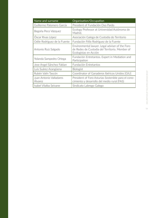| Name and surname                   | Organisation/Occupation                                                                                                    |
|------------------------------------|----------------------------------------------------------------------------------------------------------------------------|
| Guillermo Palomero García          | President of Fundación Oso Pardo                                                                                           |
| Begoña Peco Vázquez                | Ecology Professor at Universidad Autónoma de<br>Madrid.                                                                    |
| Óscar Rivas López                  | Asociación Galega de Custodia do Territorio                                                                                |
| Odile Rodríguez de la Fuente       | Fundación Félix Rodríguez de la Fuente                                                                                     |
| Antonio Ruiz Salgado               | Environmental lawyer. Legal adviser of the Foro<br>de Redes de Custodia del Territorio. Member of<br>Ecologistas en Acción |
| Yolanda Sampedro Ortega            | Fundación Entretantos. Expert in Mediation and<br>Participation                                                            |
| Jose Angel Sánchez Fabian          | Fundación Entretantos                                                                                                      |
| Luis Suárez Arangüena              | <b>Biologist</b>                                                                                                           |
| Rubén Valín Tascón                 | Coordinator of Ganaderos Ibéricos Unidos [GIU]                                                                             |
| Juan Antonio Valladares<br>Álvarez | President of Foro Asturias Sostenible para el cono-<br>cimiento y desarrollo del medio rural (FAS)                         |
| Isabel Vilalba Seivane             | Sindicato Labrego Galego                                                                                                   |